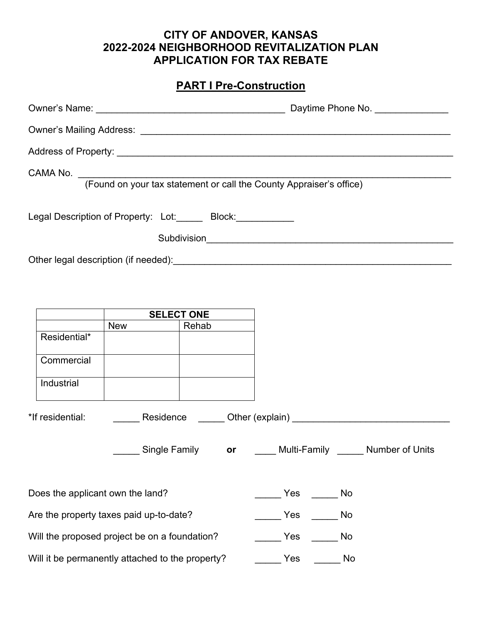### **CITY OF ANDOVER, KANSAS 2022-2024 NEIGHBORHOOD REVITALIZATION PLAN APPLICATION FOR TAX REBATE**

# **PART I Pre-Construction**

|                                                  |                                                                                                | CAMA No. (Found on your tax statement or call the County Appraiser's office) |  |
|--------------------------------------------------|------------------------------------------------------------------------------------------------|------------------------------------------------------------------------------|--|
|                                                  | Legal Description of Property: Lot: ______ Block: ___________                                  |                                                                              |  |
|                                                  |                                                                                                |                                                                              |  |
|                                                  | SELECT ONE                                                                                     |                                                                              |  |
|                                                  | New ________<br>Rehab                                                                          |                                                                              |  |
| Residential*                                     |                                                                                                |                                                                              |  |
| Commercial                                       |                                                                                                |                                                                              |  |
| Industrial                                       |                                                                                                |                                                                              |  |
|                                                  | *If residential: Contract Residence Communication (explain) Communication and the residential: |                                                                              |  |
|                                                  | Single Family                                                                                  | or _____ Multi-Family ______ Number of Units                                 |  |
| Does the applicant own the land?                 |                                                                                                | Yes<br>No                                                                    |  |
| Are the property taxes paid up-to-date?          |                                                                                                | Yes<br>No                                                                    |  |
| Will the proposed project be on a foundation?    |                                                                                                | Yes<br>No                                                                    |  |
| Will it be permanently attached to the property? |                                                                                                | Yes<br>No                                                                    |  |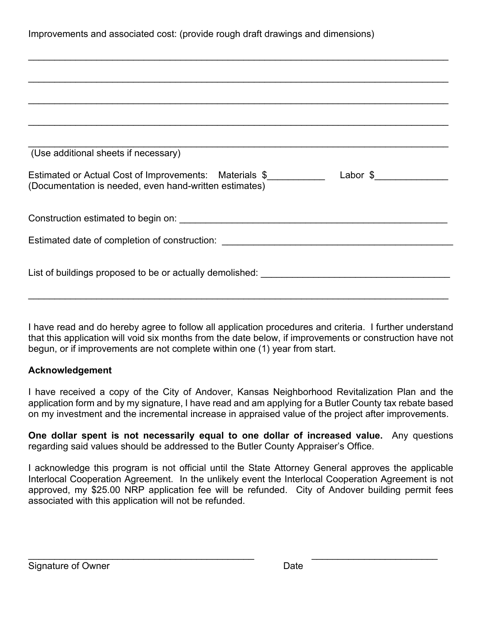I have read and do hereby agree to follow all application procedures and criteria. I further understand that this application will void six months from the date below, if improvements or construction have not begun, or if improvements are not complete within one (1) year from start.

#### **Acknowledgement**

I have received a copy of the City of Andover, Kansas Neighborhood Revitalization Plan and the application form and by my signature, I have read and am applying for a Butler County tax rebate based on my investment and the incremental increase in appraised value of the project after improvements.

**One dollar spent is not necessarily equal to one dollar of increased value.** Any questions regarding said values should be addressed to the Butler County Appraiser's Office.

I acknowledge this program is not official until the State Attorney General approves the applicable Interlocal Cooperation Agreement. In the unlikely event the Interlocal Cooperation Agreement is not approved, my \$25.00 NRP application fee will be refunded. City of Andover building permit fees associated with this application will not be refunded.

 $\overline{\phantom{a}}$  , and the contribution of the contribution of the contribution of the contribution of the contribution of the contribution of the contribution of the contribution of the contribution of the contribution of the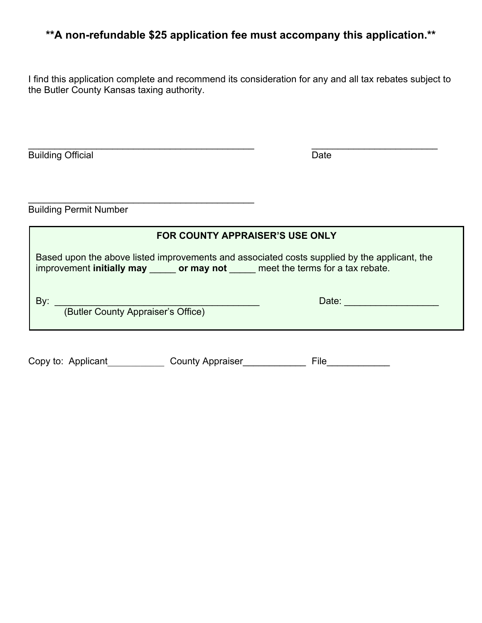# **\*\*A non-refundable \$25 application fee must accompany this application.\*\***

I find this application complete and recommend its consideration for any and all tax rebates subject to the Butler County Kansas taxing authority.

| <b>Building</b><br>Official |  |
|-----------------------------|--|

Building Permit Number

\_\_\_\_\_\_\_\_\_\_\_\_\_\_\_\_\_\_\_\_\_\_\_\_\_\_\_\_\_\_\_\_\_\_\_\_\_\_\_\_\_\_\_

| <b>FOR COUNTY APPRAISER'S USE ONLY</b>                                                                                                                                               |                         |       |  |  |  |
|--------------------------------------------------------------------------------------------------------------------------------------------------------------------------------------|-------------------------|-------|--|--|--|
| Based upon the above listed improvements and associated costs supplied by the applicant, the<br>improvement initially may _______ or may not ______ meet the terms for a tax rebate. |                         |       |  |  |  |
| By:<br>(Butler County Appraiser's Office)                                                                                                                                            |                         | Date: |  |  |  |
| Copy to: Applicant                                                                                                                                                                   | <b>County Appraiser</b> | File  |  |  |  |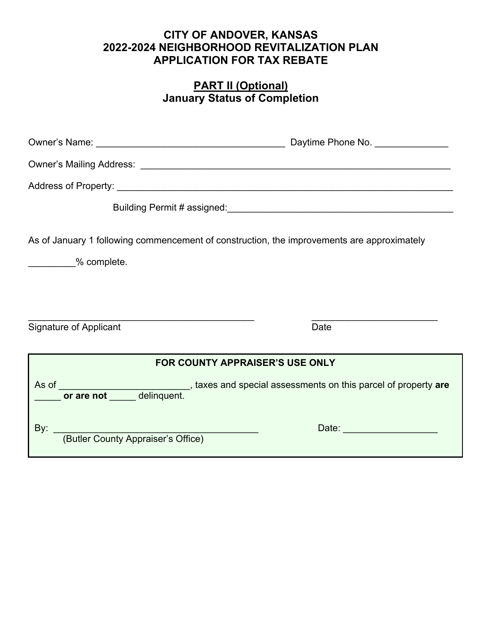### **CITY OF ANDOVER, KANSAS 2022-2024 NEIGHBORHOOD REVITALIZATION PLAN APPLICATION FOR TAX REBATE**

### **PART II (Optional) January Status of Completion**

| As of January 1 following commencement of construction, the improvements are approximately                                             |                              |  |  |  |  |  |
|----------------------------------------------------------------------------------------------------------------------------------------|------------------------------|--|--|--|--|--|
| 2% complete.                                                                                                                           |                              |  |  |  |  |  |
|                                                                                                                                        |                              |  |  |  |  |  |
|                                                                                                                                        |                              |  |  |  |  |  |
| Signature of Applicant                                                                                                                 | Date                         |  |  |  |  |  |
|                                                                                                                                        |                              |  |  |  |  |  |
| <b>FOR COUNTY APPRAISER'S USE ONLY</b>                                                                                                 |                              |  |  |  |  |  |
| As of __________________________________, taxes and special assessments on this parcel of property are<br>or are not _____ delinquent. |                              |  |  |  |  |  |
| (Butler County Appraiser's Office)<br>By: $\overline{\phantom{a}}$                                                                     | Date: ______________________ |  |  |  |  |  |